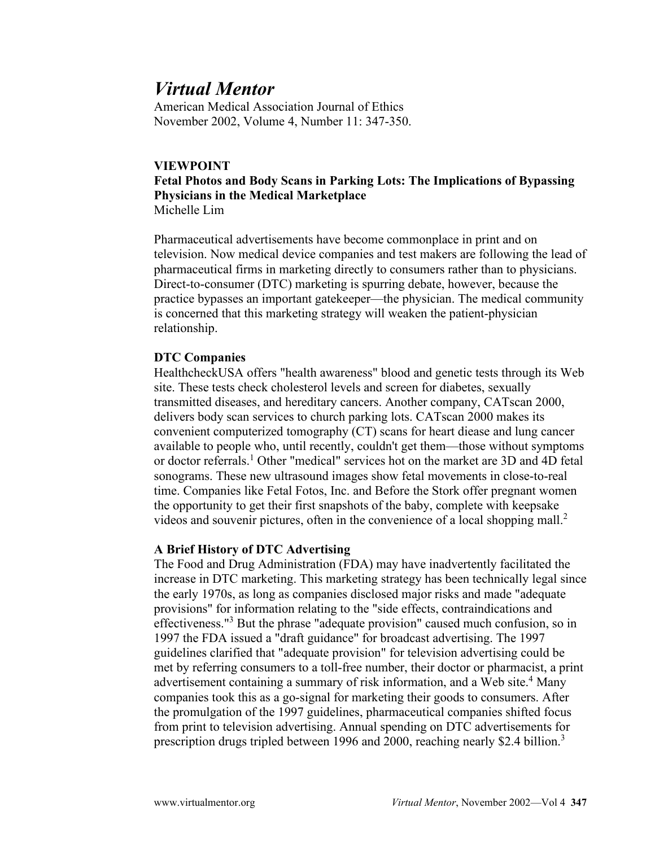# *Virtual Mentor*

American Medical Association Journal of Ethics November 2002, Volume 4, Number 11: 347-350.

# **VIEWPOINT**

# **Fetal Photos and Body Scans in Parking Lots: The Implications of Bypassing Physicians in the Medical Marketplace** Michelle Lim

Pharmaceutical advertisements have become commonplace in print and on television. Now medical device companies and test makers are following the lead of pharmaceutical firms in marketing directly to consumers rather than to physicians. Direct-to-consumer (DTC) marketing is spurring debate, however, because the practice bypasses an important gatekeeper—the physician. The medical community is concerned that this marketing strategy will weaken the patient-physician relationship.

# **DTC Companies**

HealthcheckUSA offers "health awareness" blood and genetic tests through its Web site. These tests check cholesterol levels and screen for diabetes, sexually transmitted diseases, and hereditary cancers. Another company, CATscan 2000, delivers body scan services to church parking lots. CATscan 2000 makes its convenient computerized tomography (CT) scans for heart diease and lung cancer available to people who, until recently, couldn't get them—those without symptoms or doctor referrals.1 Other "medical" services hot on the market are 3D and 4D fetal sonograms. These new ultrasound images show fetal movements in close-to-real time. Companies like Fetal Fotos, Inc. and Before the Stork offer pregnant women the opportunity to get their first snapshots of the baby, complete with keepsake videos and souvenir pictures, often in the convenience of a local shopping mall.<sup>2</sup>

# **A Brief History of DTC Advertising**

The Food and Drug Administration (FDA) may have inadvertently facilitated the increase in DTC marketing. This marketing strategy has been technically legal since the early 1970s, as long as companies disclosed major risks and made "adequate provisions" for information relating to the "side effects, contraindications and effectiveness."<sup>3</sup> But the phrase "adequate provision" caused much confusion, so in 1997 the FDA issued a "draft guidance" for broadcast advertising. The 1997 guidelines clarified that "adequate provision" for television advertising could be met by referring consumers to a toll-free number, their doctor or pharmacist, a print advertisement containing a summary of risk information, and a Web site.<sup>4</sup> Many companies took this as a go-signal for marketing their goods to consumers. After the promulgation of the 1997 guidelines, pharmaceutical companies shifted focus from print to television advertising. Annual spending on DTC advertisements for prescription drugs tripled between 1996 and 2000, reaching nearly \$2.4 billion.<sup>3</sup>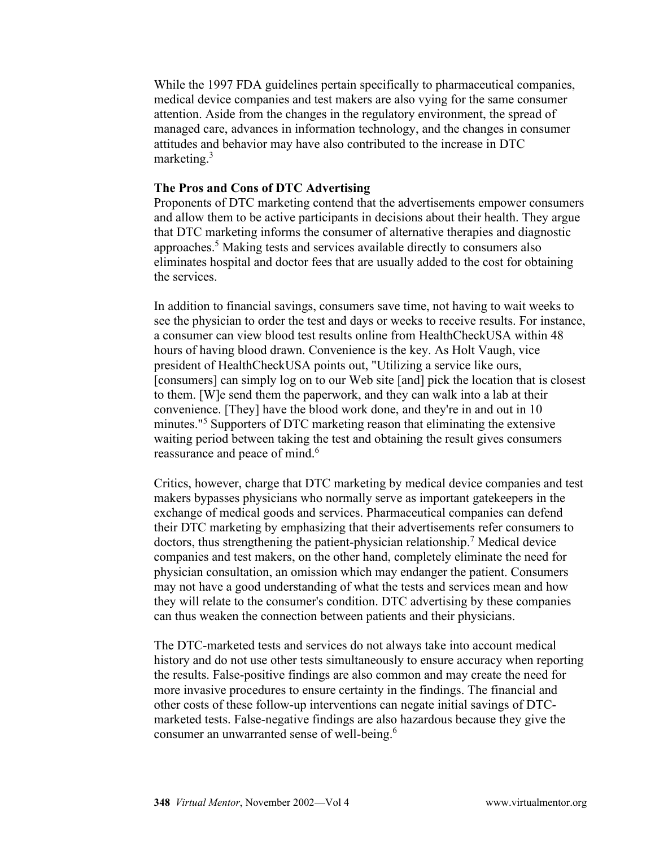While the 1997 FDA guidelines pertain specifically to pharmaceutical companies, medical device companies and test makers are also vying for the same consumer attention. Aside from the changes in the regulatory environment, the spread of managed care, advances in information technology, and the changes in consumer attitudes and behavior may have also contributed to the increase in DTC marketing. $3$ 

# **The Pros and Cons of DTC Advertising**

Proponents of DTC marketing contend that the advertisements empower consumers and allow them to be active participants in decisions about their health. They argue that DTC marketing informs the consumer of alternative therapies and diagnostic approaches.5 Making tests and services available directly to consumers also eliminates hospital and doctor fees that are usually added to the cost for obtaining the services.

In addition to financial savings, consumers save time, not having to wait weeks to see the physician to order the test and days or weeks to receive results. For instance, a consumer can view blood test results online from HealthCheckUSA within 48 hours of having blood drawn. Convenience is the key. As Holt Vaugh, vice president of HealthCheckUSA points out, "Utilizing a service like ours, [consumers] can simply log on to our Web site [and] pick the location that is closest to them. [W]e send them the paperwork, and they can walk into a lab at their convenience. [They] have the blood work done, and they're in and out in 10 minutes."<sup>5</sup> Supporters of DTC marketing reason that eliminating the extensive waiting period between taking the test and obtaining the result gives consumers reassurance and peace of mind.<sup>6</sup>

Critics, however, charge that DTC marketing by medical device companies and test makers bypasses physicians who normally serve as important gatekeepers in the exchange of medical goods and services. Pharmaceutical companies can defend their DTC marketing by emphasizing that their advertisements refer consumers to doctors, thus strengthening the patient-physician relationship.<sup>7</sup> Medical device companies and test makers, on the other hand, completely eliminate the need for physician consultation, an omission which may endanger the patient. Consumers may not have a good understanding of what the tests and services mean and how they will relate to the consumer's condition. DTC advertising by these companies can thus weaken the connection between patients and their physicians.

The DTC-marketed tests and services do not always take into account medical history and do not use other tests simultaneously to ensure accuracy when reporting the results. False-positive findings are also common and may create the need for more invasive procedures to ensure certainty in the findings. The financial and other costs of these follow-up interventions can negate initial savings of DTCmarketed tests. False-negative findings are also hazardous because they give the consumer an unwarranted sense of well-being.<sup>6</sup>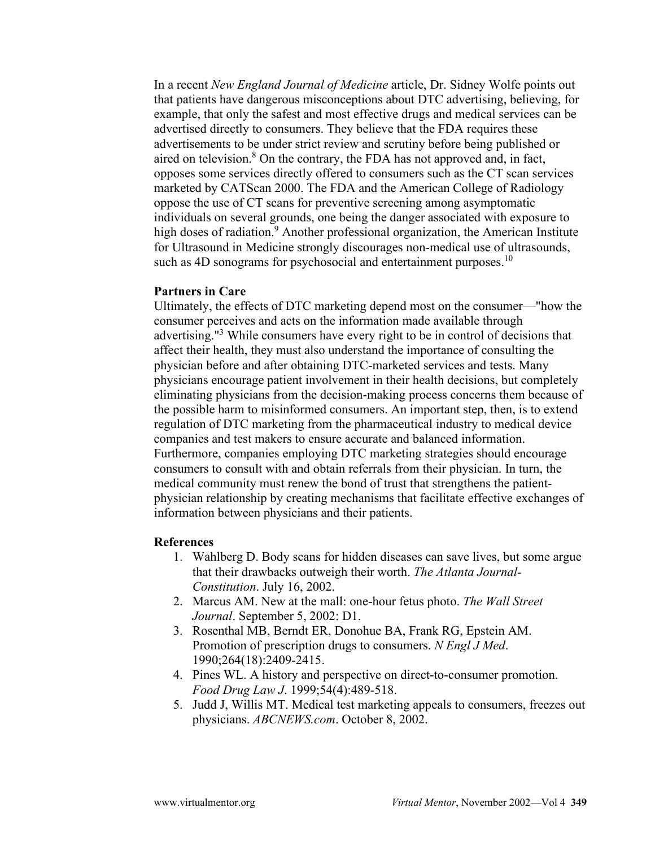In a recent *New England Journal of Medicine* article, Dr. Sidney Wolfe points out that patients have dangerous misconceptions about DTC advertising, believing, for example, that only the safest and most effective drugs and medical services can be advertised directly to consumers. They believe that the FDA requires these advertisements to be under strict review and scrutiny before being published or aired on television. $8$  On the contrary, the FDA has not approved and, in fact, opposes some services directly offered to consumers such as the CT scan services marketed by CATScan 2000. The FDA and the American College of Radiology oppose the use of CT scans for preventive screening among asymptomatic individuals on several grounds, one being the danger associated with exposure to high doses of radiation.<sup>9</sup> Another professional organization, the American Institute for Ultrasound in Medicine strongly discourages non-medical use of ultrasounds, such as 4D sonograms for psychosocial and entertainment purposes.<sup>10</sup>

#### **Partners in Care**

Ultimately, the effects of DTC marketing depend most on the consumer—"how the consumer perceives and acts on the information made available through advertising."<sup>3</sup> While consumers have every right to be in control of decisions that affect their health, they must also understand the importance of consulting the physician before and after obtaining DTC-marketed services and tests. Many physicians encourage patient involvement in their health decisions, but completely eliminating physicians from the decision-making process concerns them because of the possible harm to misinformed consumers. An important step, then, is to extend regulation of DTC marketing from the pharmaceutical industry to medical device companies and test makers to ensure accurate and balanced information. Furthermore, companies employing DTC marketing strategies should encourage consumers to consult with and obtain referrals from their physician. In turn, the medical community must renew the bond of trust that strengthens the patientphysician relationship by creating mechanisms that facilitate effective exchanges of information between physicians and their patients.

#### **References**

- 1. Wahlberg D. Body scans for hidden diseases can save lives, but some argue that their drawbacks outweigh their worth. *The Atlanta Journal-Constitution*. July 16, 2002.
- 2. Marcus AM. New at the mall: one-hour fetus photo. *The Wall Street Journal*. September 5, 2002: D1.
- 3. Rosenthal MB, Berndt ER, Donohue BA, Frank RG, Epstein AM. Promotion of prescription drugs to consumers. *N Engl J Med*. 1990;264(18):2409-2415.
- 4. Pines WL. A history and perspective on direct-to-consumer promotion. *Food Drug Law J*. 1999;54(4):489-518.
- 5. Judd J, Willis MT. Medical test marketing appeals to consumers, freezes out physicians. *ABCNEWS.com*. October 8, 2002.